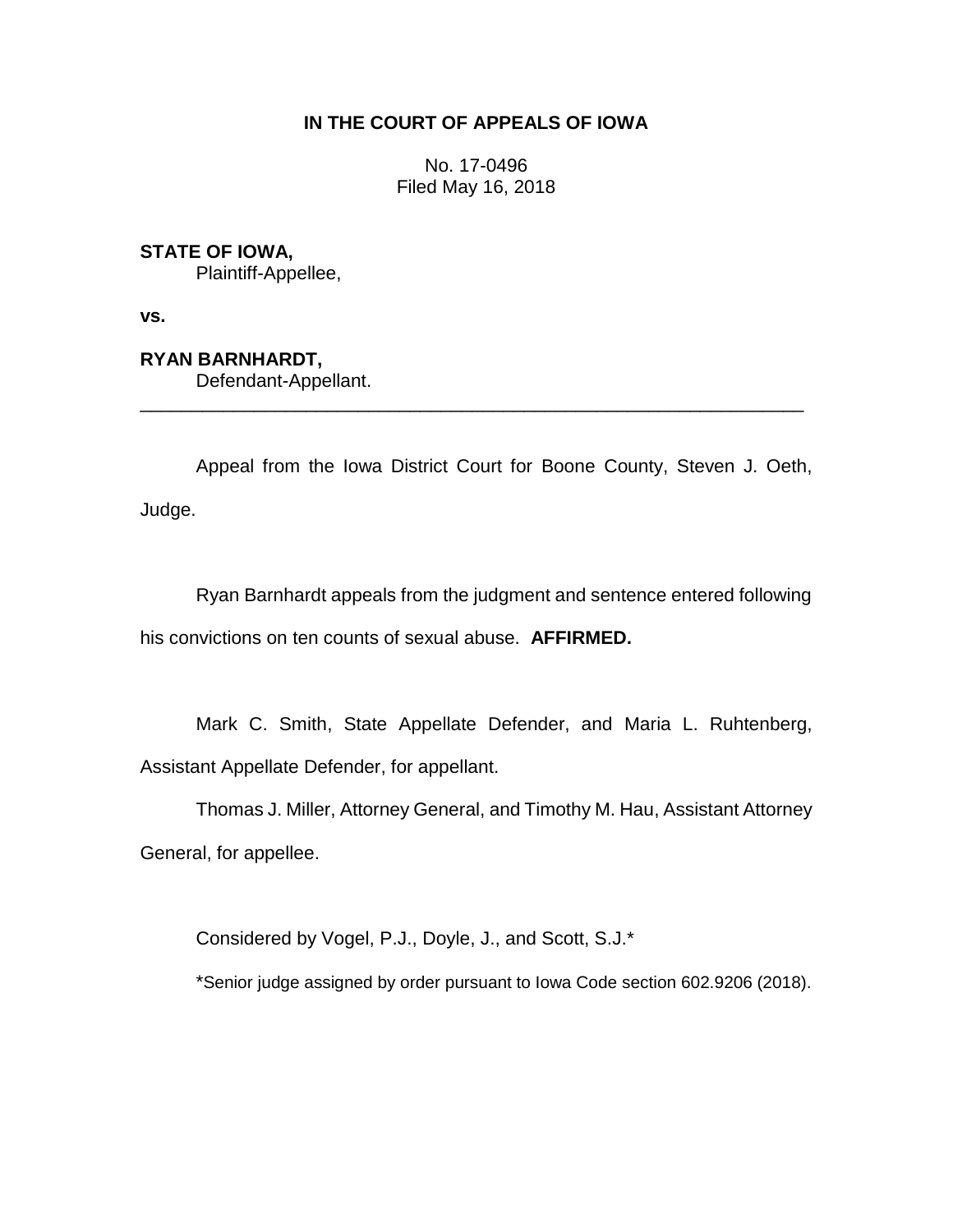# **IN THE COURT OF APPEALS OF IOWA**

No. 17-0496 Filed May 16, 2018

# **STATE OF IOWA,**

Plaintiff-Appellee,

**vs.**

# **RYAN BARNHARDT,**

Defendant-Appellant.

Appeal from the Iowa District Court for Boone County, Steven J. Oeth, Judge.

\_\_\_\_\_\_\_\_\_\_\_\_\_\_\_\_\_\_\_\_\_\_\_\_\_\_\_\_\_\_\_\_\_\_\_\_\_\_\_\_\_\_\_\_\_\_\_\_\_\_\_\_\_\_\_\_\_\_\_\_\_\_\_\_

Ryan Barnhardt appeals from the judgment and sentence entered following his convictions on ten counts of sexual abuse. **AFFIRMED.**

Mark C. Smith, State Appellate Defender, and Maria L. Ruhtenberg, Assistant Appellate Defender, for appellant.

Thomas J. Miller, Attorney General, and Timothy M. Hau, Assistant Attorney General, for appellee.

Considered by Vogel, P.J., Doyle, J., and Scott, S.J.\*

\*Senior judge assigned by order pursuant to Iowa Code section 602.9206 (2018).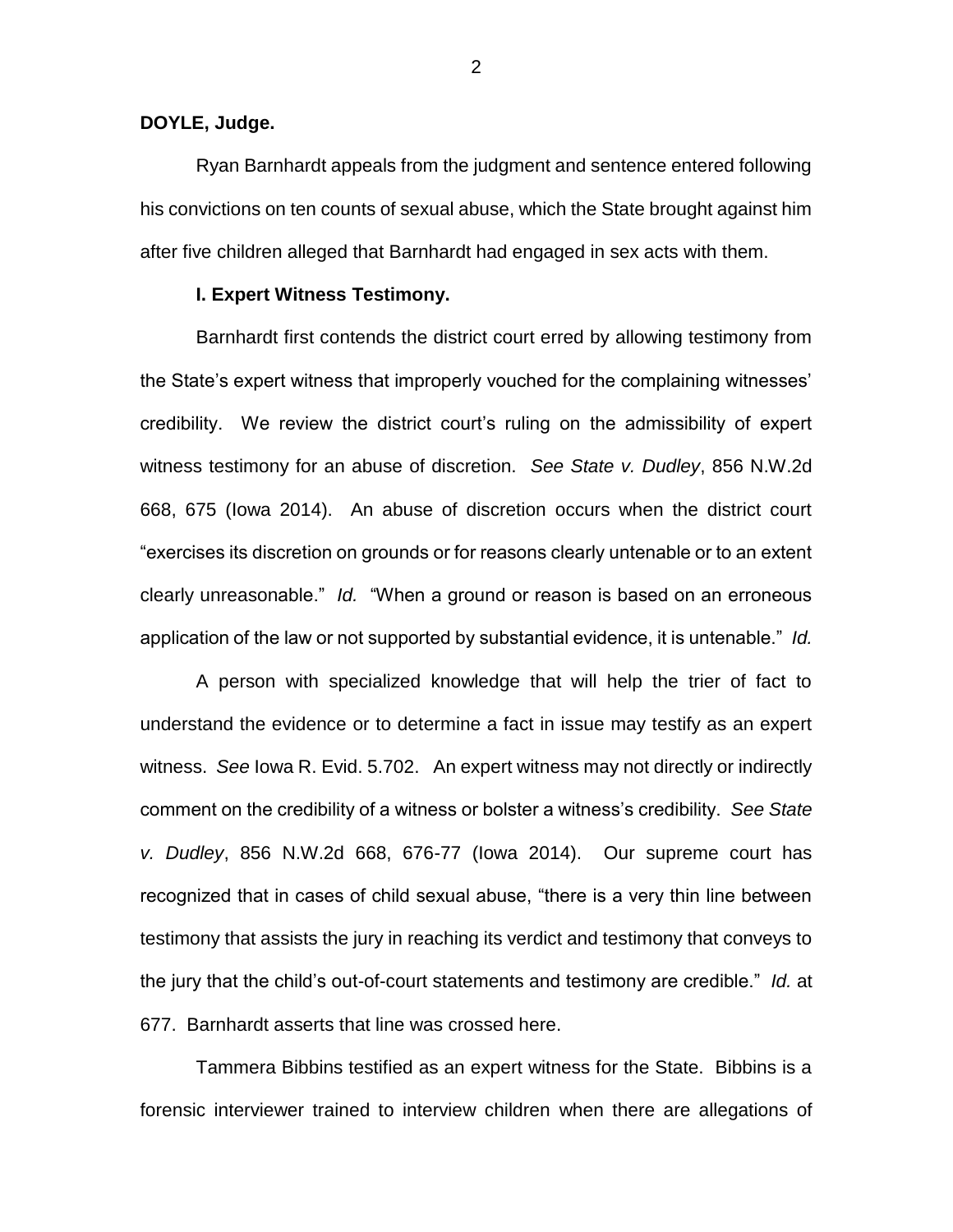#### **DOYLE, Judge.**

Ryan Barnhardt appeals from the judgment and sentence entered following his convictions on ten counts of sexual abuse, which the State brought against him after five children alleged that Barnhardt had engaged in sex acts with them.

#### **I. Expert Witness Testimony.**

Barnhardt first contends the district court erred by allowing testimony from the State's expert witness that improperly vouched for the complaining witnesses' credibility. We review the district court's ruling on the admissibility of expert witness testimony for an abuse of discretion. *See State v. Dudley*, 856 N.W.2d 668, 675 (Iowa 2014). An abuse of discretion occurs when the district court "exercises its discretion on grounds or for reasons clearly untenable or to an extent clearly unreasonable." *Id.* "When a ground or reason is based on an erroneous application of the law or not supported by substantial evidence, it is untenable." *Id.*

A person with specialized knowledge that will help the trier of fact to understand the evidence or to determine a fact in issue may testify as an expert witness. *See* Iowa R. Evid. 5.702. An expert witness may not directly or indirectly comment on the credibility of a witness or bolster a witness's credibility. *See State v. Dudley*, 856 N.W.2d 668, 676-77 (Iowa 2014). Our supreme court has recognized that in cases of child sexual abuse, "there is a very thin line between testimony that assists the jury in reaching its verdict and testimony that conveys to the jury that the child's out-of-court statements and testimony are credible." *Id.* at 677. Barnhardt asserts that line was crossed here.

Tammera Bibbins testified as an expert witness for the State. Bibbins is a forensic interviewer trained to interview children when there are allegations of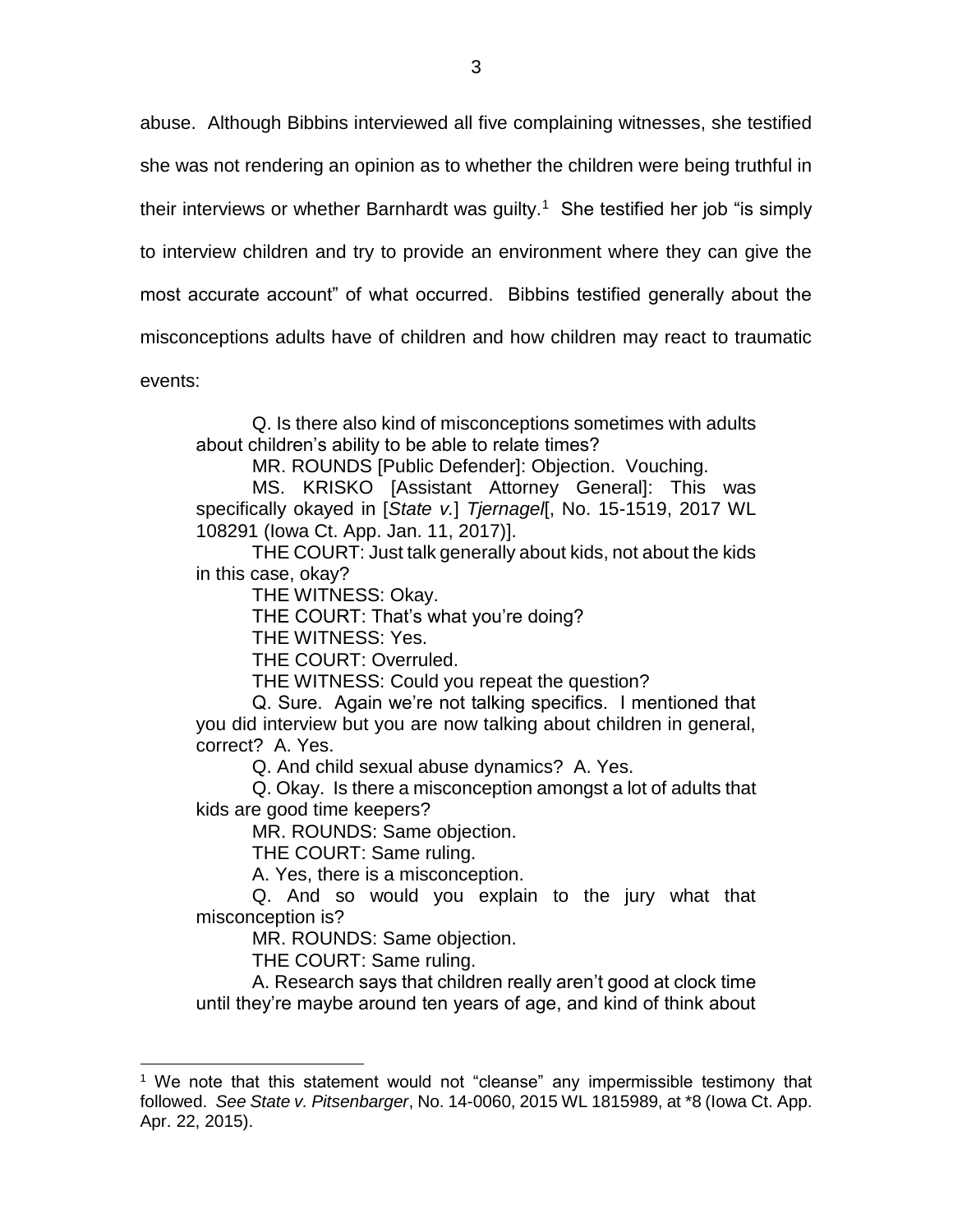abuse. Although Bibbins interviewed all five complaining witnesses, she testified

she was not rendering an opinion as to whether the children were being truthful in

their interviews or whether Barnhardt was guilty.<sup>1</sup> She testified her job "is simply

to interview children and try to provide an environment where they can give the

most accurate account" of what occurred. Bibbins testified generally about the

misconceptions adults have of children and how children may react to traumatic

events:

 $\overline{a}$ 

Q. Is there also kind of misconceptions sometimes with adults about children's ability to be able to relate times?

MR. ROUNDS [Public Defender]: Objection. Vouching.

MS. KRISKO [Assistant Attorney General]: This was specifically okayed in [*State v.*] *Tjernagel*[, No. 15-1519, 2017 WL 108291 (Iowa Ct. App. Jan. 11, 2017)].

THE COURT: Just talk generally about kids, not about the kids in this case, okay?

THE WITNESS: Okay.

THE COURT: That's what you're doing?

THE WITNESS: Yes.

THE COURT: Overruled.

THE WITNESS: Could you repeat the question?

Q. Sure. Again we're not talking specifics. I mentioned that you did interview but you are now talking about children in general, correct? A. Yes.

Q. And child sexual abuse dynamics? A. Yes.

Q. Okay. Is there a misconception amongst a lot of adults that kids are good time keepers?

MR. ROUNDS: Same objection.

THE COURT: Same ruling.

A. Yes, there is a misconception.

Q. And so would you explain to the jury what that misconception is?

MR. ROUNDS: Same objection.

THE COURT: Same ruling.

A. Research says that children really aren't good at clock time until they're maybe around ten years of age, and kind of think about

 $1$  We note that this statement would not "cleanse" any impermissible testimony that followed. *See State v. Pitsenbarger*, No. 14-0060, 2015 WL 1815989, at \*8 (Iowa Ct. App. Apr. 22, 2015).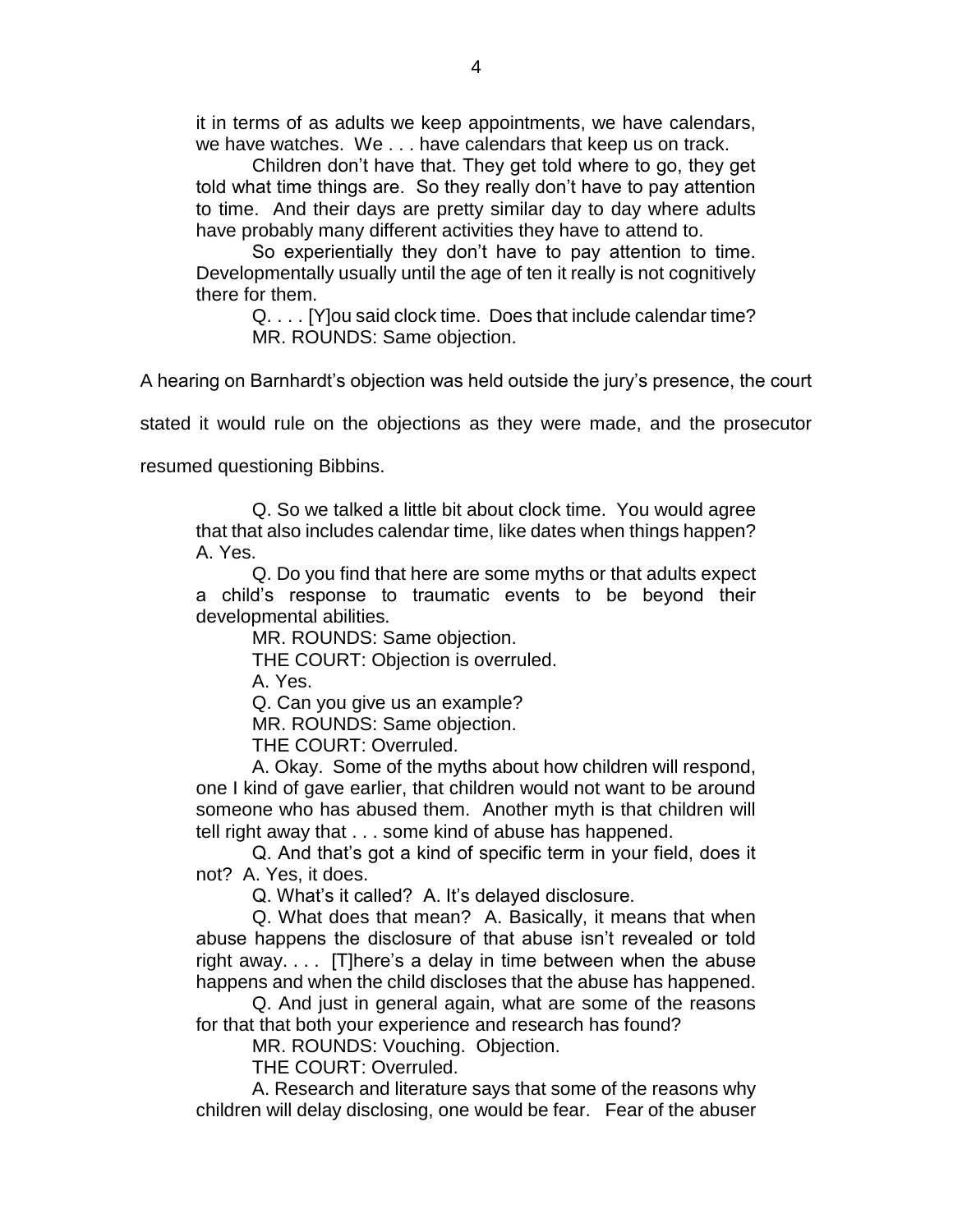it in terms of as adults we keep appointments, we have calendars, we have watches. We . . . have calendars that keep us on track.

Children don't have that. They get told where to go, they get told what time things are. So they really don't have to pay attention to time. And their days are pretty similar day to day where adults have probably many different activities they have to attend to.

So experientially they don't have to pay attention to time. Developmentally usually until the age of ten it really is not cognitively there for them.

Q. . . . [Y]ou said clock time. Does that include calendar time? MR. ROUNDS: Same objection.

A hearing on Barnhardt's objection was held outside the jury's presence, the court

stated it would rule on the objections as they were made, and the prosecutor

resumed questioning Bibbins.

Q. So we talked a little bit about clock time. You would agree that that also includes calendar time, like dates when things happen? A. Yes.

Q. Do you find that here are some myths or that adults expect a child's response to traumatic events to be beyond their developmental abilities.

MR. ROUNDS: Same objection.

THE COURT: Objection is overruled.

A. Yes.

Q. Can you give us an example?

MR. ROUNDS: Same objection.

THE COURT: Overruled.

A. Okay. Some of the myths about how children will respond, one I kind of gave earlier, that children would not want to be around someone who has abused them. Another myth is that children will tell right away that . . . some kind of abuse has happened.

Q. And that's got a kind of specific term in your field, does it not? A. Yes, it does.

Q. What's it called? A. It's delayed disclosure.

Q. What does that mean? A. Basically, it means that when abuse happens the disclosure of that abuse isn't revealed or told right away. . . . [T]here's a delay in time between when the abuse happens and when the child discloses that the abuse has happened.

Q. And just in general again, what are some of the reasons for that that both your experience and research has found?

MR. ROUNDS: Vouching. Objection.

THE COURT: Overruled.

A. Research and literature says that some of the reasons why children will delay disclosing, one would be fear. Fear of the abuser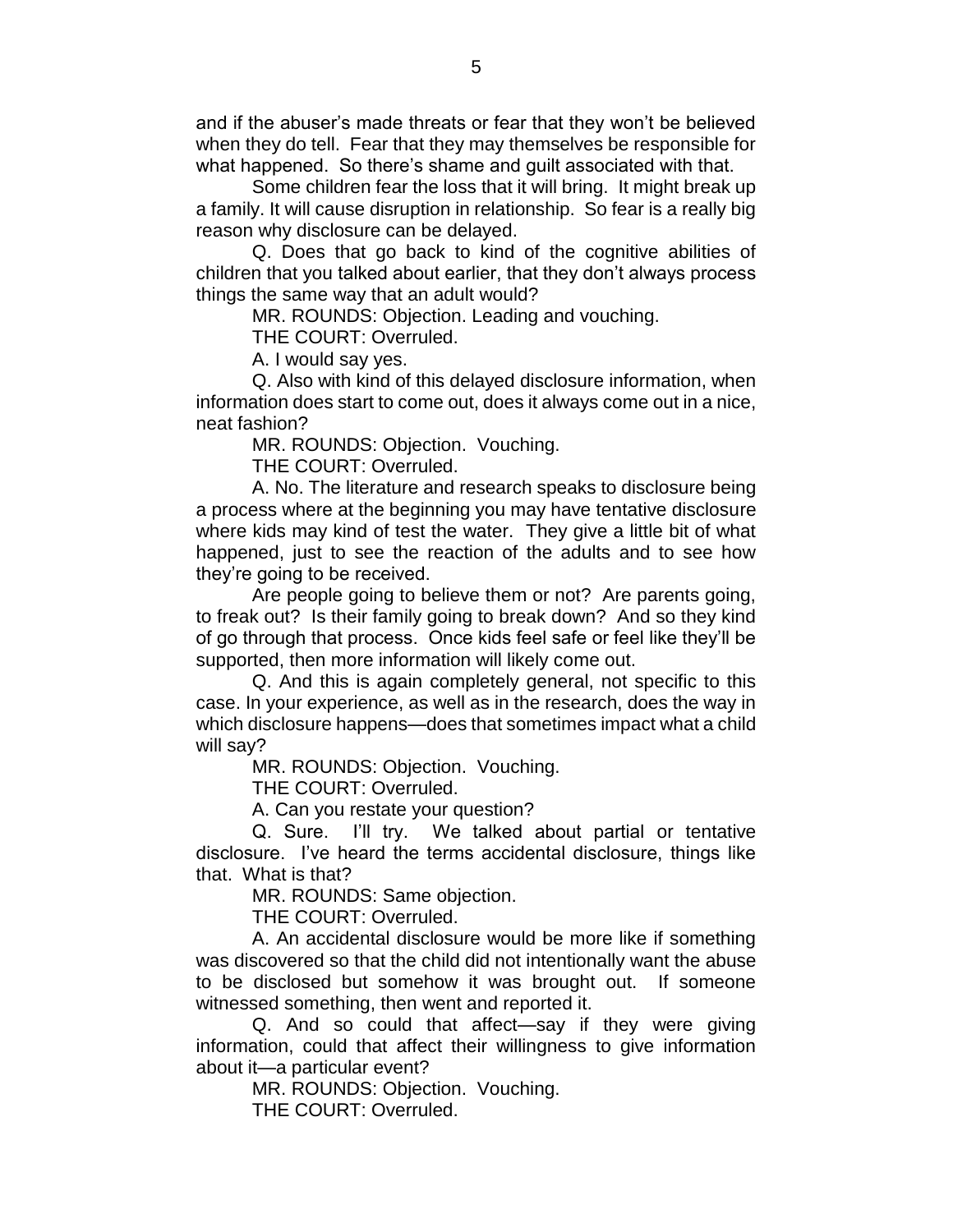and if the abuser's made threats or fear that they won't be believed when they do tell. Fear that they may themselves be responsible for what happened. So there's shame and guilt associated with that.

Some children fear the loss that it will bring. It might break up a family. It will cause disruption in relationship. So fear is a really big reason why disclosure can be delayed.

Q. Does that go back to kind of the cognitive abilities of children that you talked about earlier, that they don't always process things the same way that an adult would?

MR. ROUNDS: Objection. Leading and vouching.

THE COURT: Overruled.

A. I would say yes.

Q. Also with kind of this delayed disclosure information, when information does start to come out, does it always come out in a nice, neat fashion?

MR. ROUNDS: Objection. Vouching.

THE COURT: Overruled.

A. No. The literature and research speaks to disclosure being a process where at the beginning you may have tentative disclosure where kids may kind of test the water. They give a little bit of what happened, just to see the reaction of the adults and to see how they're going to be received.

Are people going to believe them or not? Are parents going, to freak out? Is their family going to break down? And so they kind of go through that process. Once kids feel safe or feel like they'll be supported, then more information will likely come out.

Q. And this is again completely general, not specific to this case. In your experience, as well as in the research, does the way in which disclosure happens—does that sometimes impact what a child will say?

MR. ROUNDS: Objection. Vouching.

THE COURT: Overruled.

A. Can you restate your question?

Q. Sure. I'll try. We talked about partial or tentative disclosure. I've heard the terms accidental disclosure, things like that. What is that?

MR. ROUNDS: Same objection.

THE COURT: Overruled.

A. An accidental disclosure would be more like if something was discovered so that the child did not intentionally want the abuse to be disclosed but somehow it was brought out. If someone witnessed something, then went and reported it.

Q. And so could that affect—say if they were giving information, could that affect their willingness to give information about it—a particular event?

MR. ROUNDS: Objection. Vouching.

THE COURT: Overruled.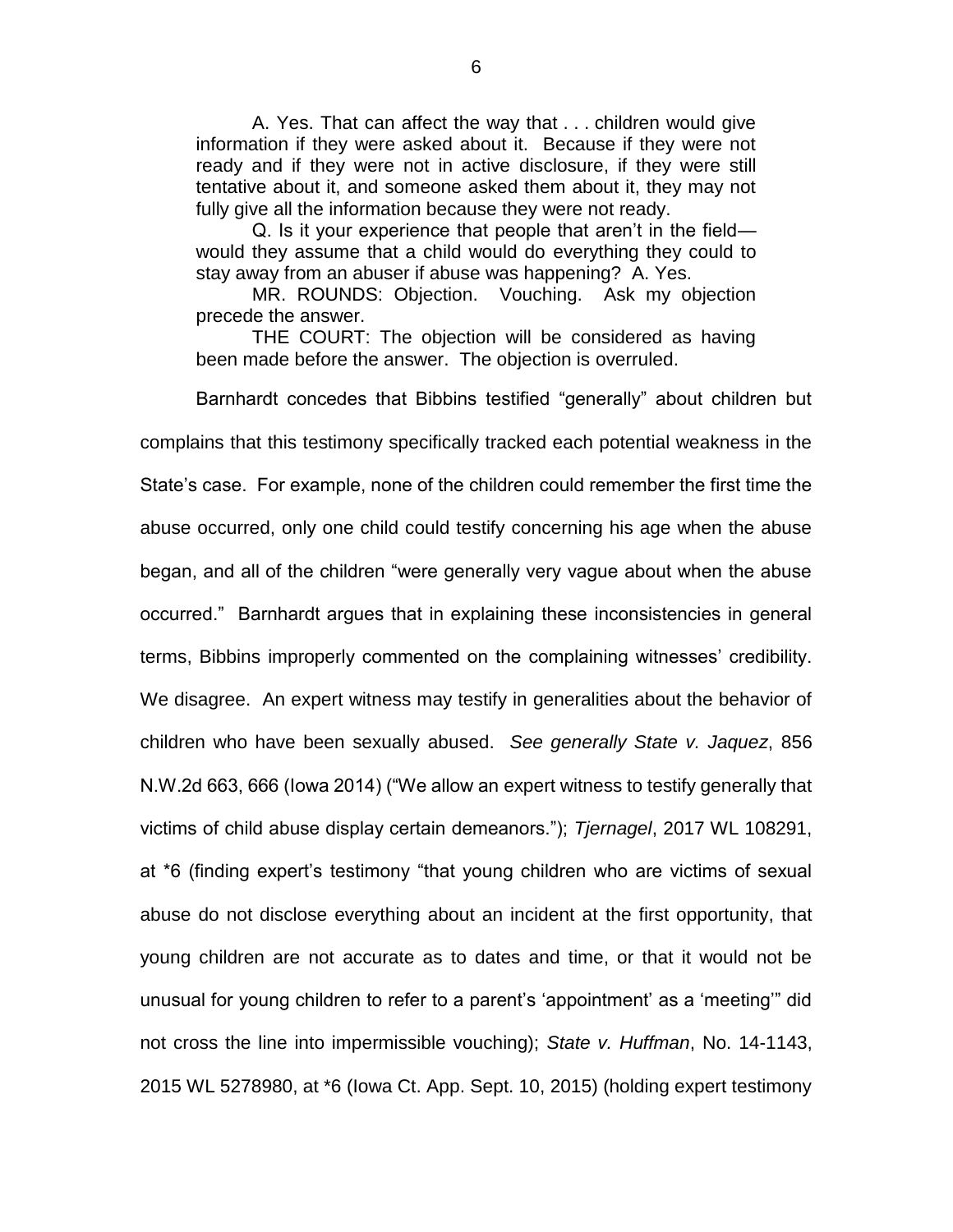A. Yes. That can affect the way that . . . children would give information if they were asked about it. Because if they were not ready and if they were not in active disclosure, if they were still tentative about it, and someone asked them about it, they may not fully give all the information because they were not ready.

Q. Is it your experience that people that aren't in the field would they assume that a child would do everything they could to stay away from an abuser if abuse was happening? A. Yes.

MR. ROUNDS: Objection. Vouching. Ask my objection precede the answer.

THE COURT: The objection will be considered as having been made before the answer. The objection is overruled.

Barnhardt concedes that Bibbins testified "generally" about children but complains that this testimony specifically tracked each potential weakness in the State's case. For example, none of the children could remember the first time the abuse occurred, only one child could testify concerning his age when the abuse began, and all of the children "were generally very vague about when the abuse occurred." Barnhardt argues that in explaining these inconsistencies in general terms, Bibbins improperly commented on the complaining witnesses' credibility. We disagree. An expert witness may testify in generalities about the behavior of children who have been sexually abused. *See generally State v. Jaquez*, 856 N.W.2d 663, 666 (Iowa 2014) ("We allow an expert witness to testify generally that victims of child abuse display certain demeanors."); *Tjernagel*, 2017 WL 108291, at \*6 (finding expert's testimony "that young children who are victims of sexual abuse do not disclose everything about an incident at the first opportunity, that young children are not accurate as to dates and time, or that it would not be unusual for young children to refer to a parent's 'appointment' as a 'meeting'" did not cross the line into impermissible vouching); *State v. Huffman*, No. 14-1143, 2015 WL 5278980, at \*6 (Iowa Ct. App. Sept. 10, 2015) (holding expert testimony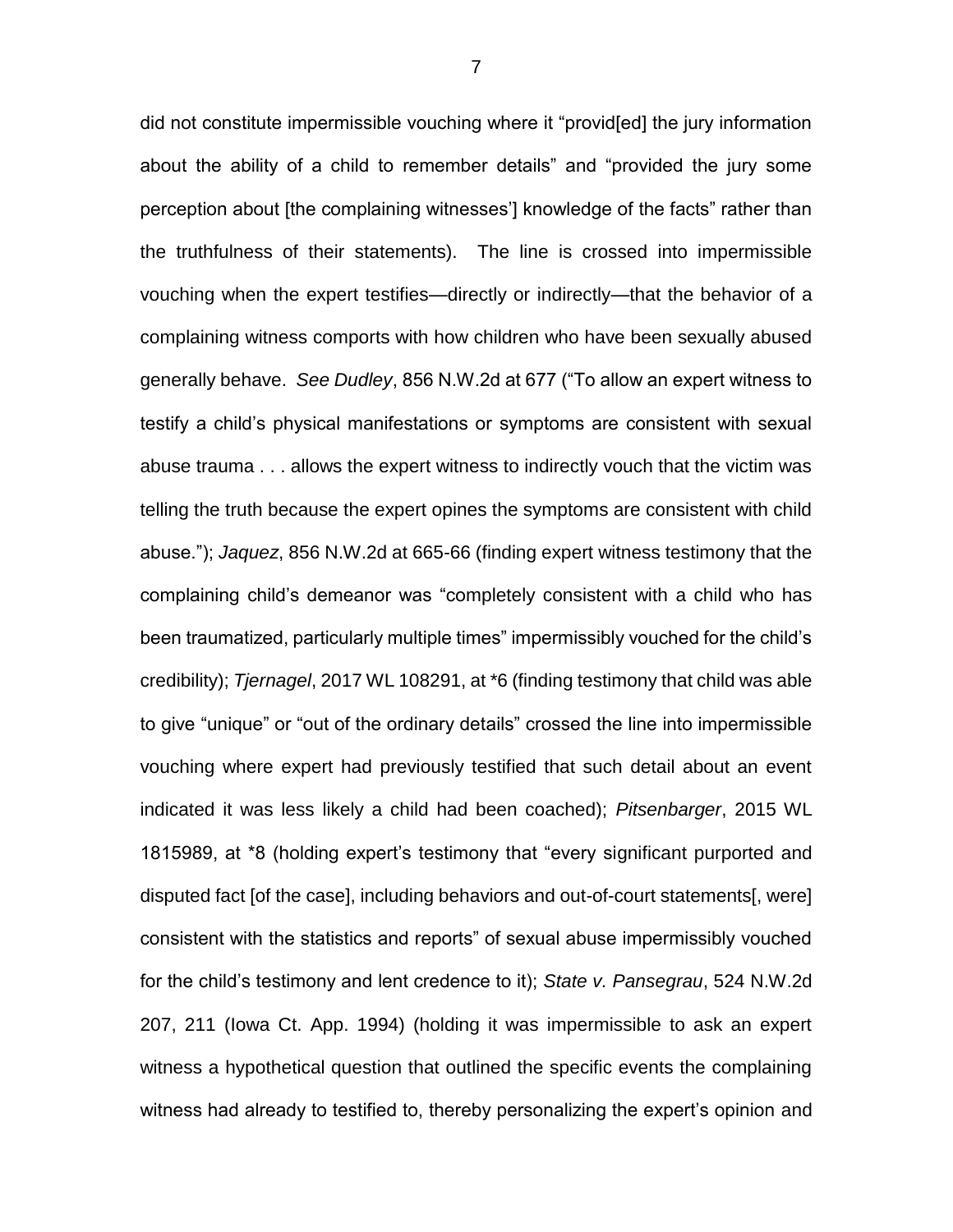did not constitute impermissible vouching where it "provid[ed] the jury information about the ability of a child to remember details" and "provided the jury some perception about [the complaining witnesses'] knowledge of the facts" rather than the truthfulness of their statements). The line is crossed into impermissible vouching when the expert testifies—directly or indirectly—that the behavior of a complaining witness comports with how children who have been sexually abused generally behave. *See Dudley*, 856 N.W.2d at 677 ("To allow an expert witness to testify a child's physical manifestations or symptoms are consistent with sexual abuse trauma . . . allows the expert witness to indirectly vouch that the victim was telling the truth because the expert opines the symptoms are consistent with child abuse."); *Jaquez*, 856 N.W.2d at 665-66 (finding expert witness testimony that the complaining child's demeanor was "completely consistent with a child who has been traumatized, particularly multiple times" impermissibly vouched for the child's credibility); *Tjernagel*, 2017 WL 108291, at \*6 (finding testimony that child was able to give "unique" or "out of the ordinary details" crossed the line into impermissible vouching where expert had previously testified that such detail about an event indicated it was less likely a child had been coached); *Pitsenbarger*, 2015 WL 1815989, at \*8 (holding expert's testimony that "every significant purported and disputed fact [of the case], including behaviors and out-of-court statements[, were] consistent with the statistics and reports" of sexual abuse impermissibly vouched for the child's testimony and lent credence to it); *State v. Pansegrau*, 524 N.W.2d 207, 211 (Iowa Ct. App. 1994) (holding it was impermissible to ask an expert witness a hypothetical question that outlined the specific events the complaining witness had already to testified to, thereby personalizing the expert's opinion and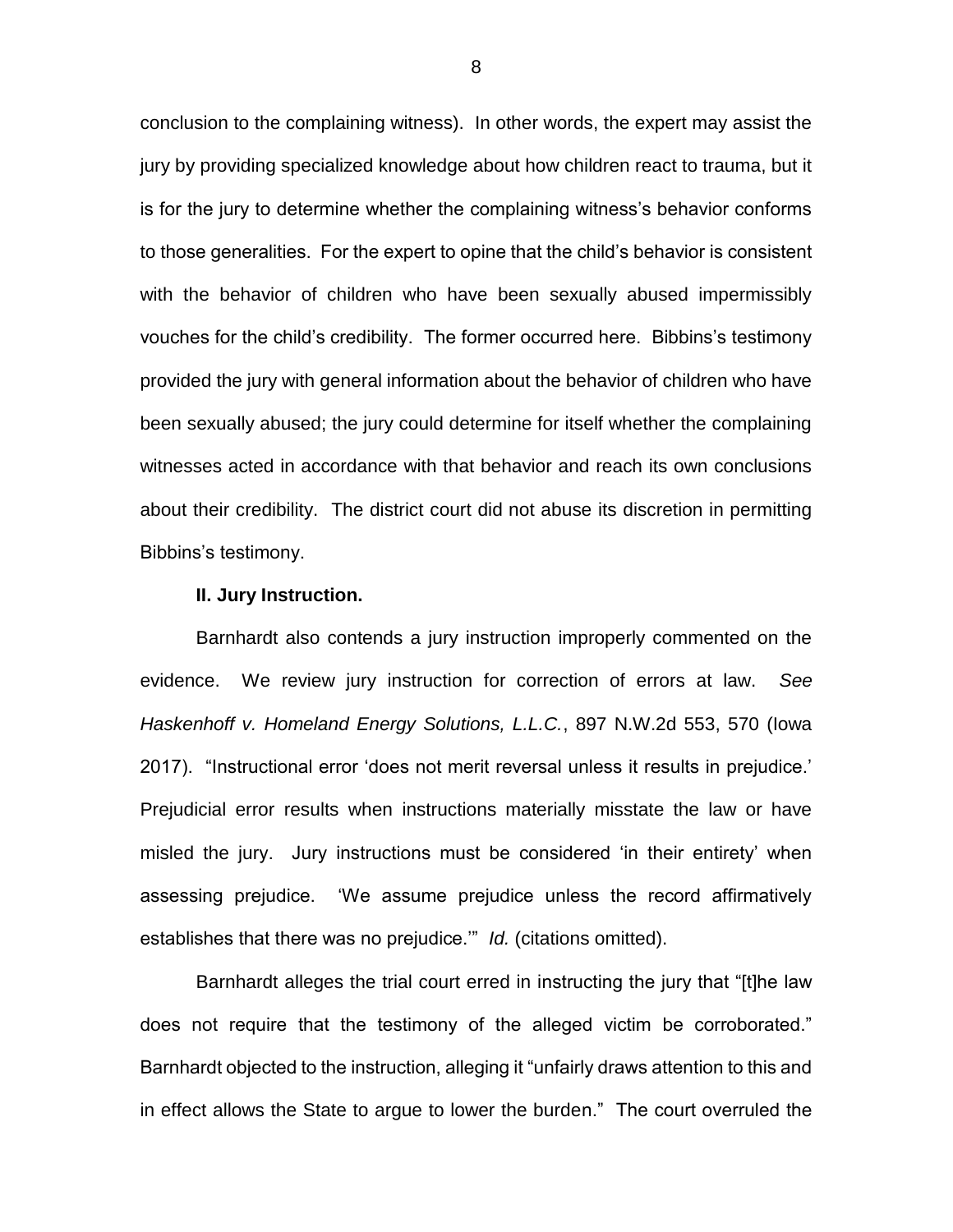conclusion to the complaining witness). In other words, the expert may assist the jury by providing specialized knowledge about how children react to trauma, but it is for the jury to determine whether the complaining witness's behavior conforms to those generalities. For the expert to opine that the child's behavior is consistent with the behavior of children who have been sexually abused impermissibly vouches for the child's credibility. The former occurred here. Bibbins's testimony provided the jury with general information about the behavior of children who have been sexually abused; the jury could determine for itself whether the complaining witnesses acted in accordance with that behavior and reach its own conclusions about their credibility. The district court did not abuse its discretion in permitting Bibbins's testimony.

#### **II. Jury Instruction.**

Barnhardt also contends a jury instruction improperly commented on the evidence. We review jury instruction for correction of errors at law. *See Haskenhoff v. Homeland Energy Solutions, L.L.C.*, 897 N.W.2d 553, 570 (Iowa 2017). "Instructional error 'does not merit reversal unless it results in prejudice.' Prejudicial error results when instructions materially misstate the law or have misled the jury. Jury instructions must be considered 'in their entirety' when assessing prejudice. 'We assume prejudice unless the record affirmatively establishes that there was no prejudice.'" *Id.* (citations omitted).

Barnhardt alleges the trial court erred in instructing the jury that "[t]he law does not require that the testimony of the alleged victim be corroborated." Barnhardt objected to the instruction, alleging it "unfairly draws attention to this and in effect allows the State to argue to lower the burden." The court overruled the

8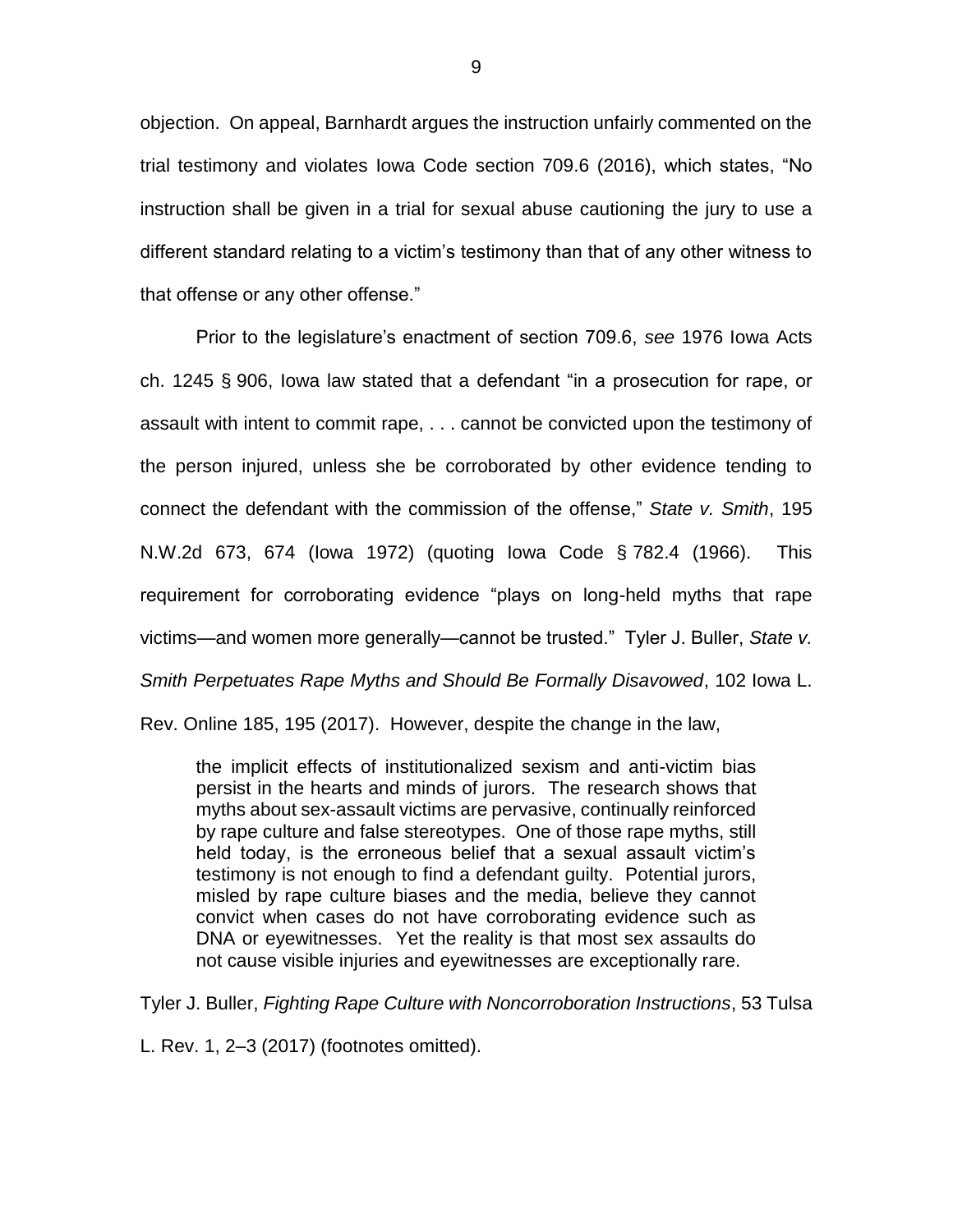objection. On appeal, Barnhardt argues the instruction unfairly commented on the trial testimony and violates Iowa Code section 709.6 (2016), which states, "No instruction shall be given in a trial for sexual abuse cautioning the jury to use a different standard relating to a victim's testimony than that of any other witness to that offense or any other offense."

Prior to the legislature's enactment of section 709.6, *see* 1976 Iowa Acts ch. 1245 § 906, Iowa law stated that a defendant "in a prosecution for rape, or assault with intent to commit rape, . . . cannot be convicted upon the testimony of the person injured, unless she be corroborated by other evidence tending to connect the defendant with the commission of the offense," *State v. Smith*, 195 N.W.2d 673, 674 (Iowa 1972) (quoting Iowa Code § 782.4 (1966). This requirement for corroborating evidence "plays on long-held myths that rape victims—and women more generally—cannot be trusted." Tyler J. Buller, *State v. Smith Perpetuates Rape Myths and Should Be Formally Disavowed*, 102 Iowa L.

Rev. Online 185, 195 (2017). However, despite the change in the law,

the implicit effects of institutionalized sexism and anti-victim bias persist in the hearts and minds of jurors. The research shows that myths about sex-assault victims are pervasive, continually reinforced by rape culture and false stereotypes. One of those rape myths, still held today, is the erroneous belief that a sexual assault victim's testimony is not enough to find a defendant guilty. Potential jurors, misled by rape culture biases and the media, believe they cannot convict when cases do not have corroborating evidence such as DNA or eyewitnesses. Yet the reality is that most sex assaults do not cause visible injuries and eyewitnesses are exceptionally rare.

Tyler J. Buller, *Fighting Rape Culture with Noncorroboration Instructions*, 53 Tulsa

L. Rev. 1, 2–3 (2017) (footnotes omitted).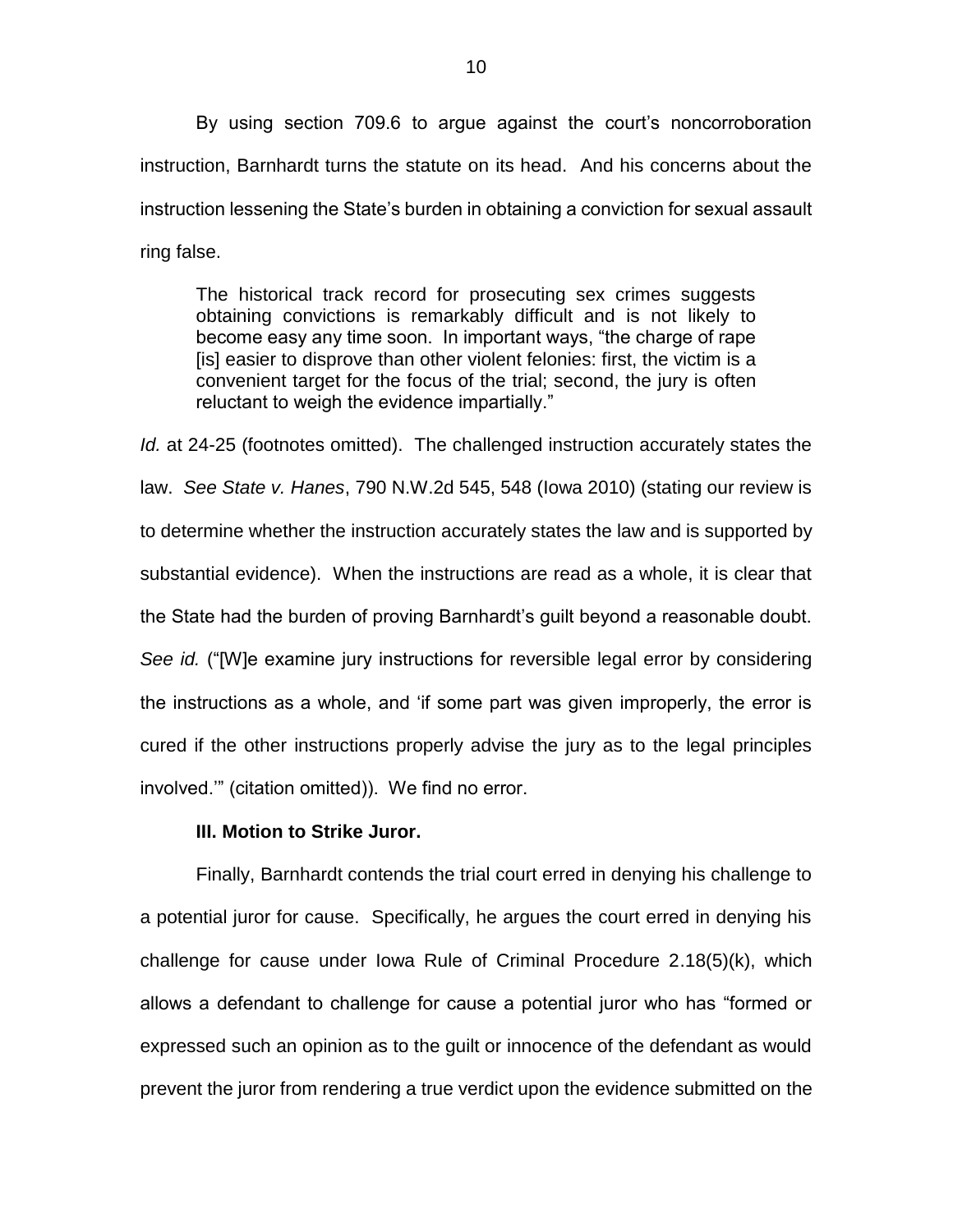By using section 709.6 to argue against the court's noncorroboration instruction, Barnhardt turns the statute on its head. And his concerns about the instruction lessening the State's burden in obtaining a conviction for sexual assault ring false.

The historical track record for prosecuting sex crimes suggests obtaining convictions is remarkably difficult and is not likely to become easy any time soon. In important ways, "the charge of rape [is] easier to disprove than other violent felonies: first, the victim is a convenient target for the focus of the trial; second, the jury is often reluctant to weigh the evidence impartially."

*Id.* at 24-25 (footnotes omitted). The challenged instruction accurately states the law. *See State v. Hanes*, 790 N.W.2d 545, 548 (Iowa 2010) (stating our review is to determine whether the instruction accurately states the law and is supported by substantial evidence). When the instructions are read as a whole, it is clear that the State had the burden of proving Barnhardt's guilt beyond a reasonable doubt. *See id.* ("[W]e examine jury instructions for reversible legal error by considering the instructions as a whole, and 'if some part was given improperly, the error is cured if the other instructions properly advise the jury as to the legal principles involved.'" (citation omitted)). We find no error.

### **III. Motion to Strike Juror.**

Finally, Barnhardt contends the trial court erred in denying his challenge to a potential juror for cause. Specifically, he argues the court erred in denying his challenge for cause under Iowa Rule of Criminal Procedure 2.18(5)(k), which allows a defendant to challenge for cause a potential juror who has "formed or expressed such an opinion as to the guilt or innocence of the defendant as would prevent the juror from rendering a true verdict upon the evidence submitted on the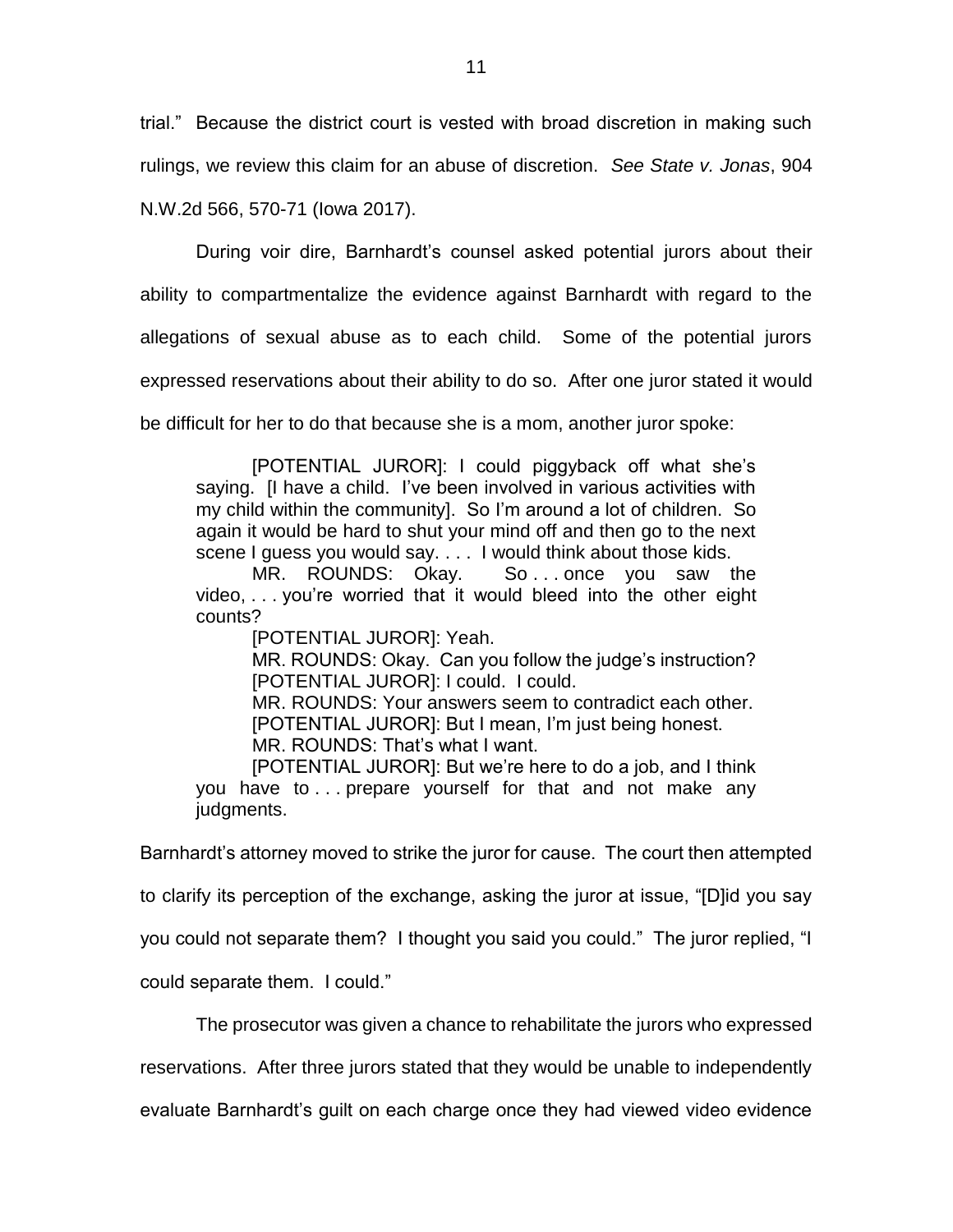trial." Because the district court is vested with broad discretion in making such rulings, we review this claim for an abuse of discretion. *See State v. Jonas*, 904 N.W.2d 566, 570-71 (Iowa 2017).

During voir dire, Barnhardt's counsel asked potential jurors about their ability to compartmentalize the evidence against Barnhardt with regard to the allegations of sexual abuse as to each child. Some of the potential jurors expressed reservations about their ability to do so. After one juror stated it would be difficult for her to do that because she is a mom, another juror spoke:

[POTENTIAL JUROR]: I could piggyback off what she's saying. [I have a child. I've been involved in various activities with my child within the community]. So I'm around a lot of children. So again it would be hard to shut your mind off and then go to the next scene I guess you would say. . . . I would think about those kids.

MR. ROUNDS: Okay. So ... once you saw the video, . . . you're worried that it would bleed into the other eight counts?

[POTENTIAL JUROR]: Yeah.

MR. ROUNDS: Okay. Can you follow the judge's instruction? [POTENTIAL JUROR]: I could. I could.

MR. ROUNDS: Your answers seem to contradict each other. [POTENTIAL JUROR]: But I mean, I'm just being honest. MR. ROUNDS: That's what I want.

[POTENTIAL JUROR]: But we're here to do a job, and I think you have to . . . prepare yourself for that and not make any judgments.

Barnhardt's attorney moved to strike the juror for cause. The court then attempted to clarify its perception of the exchange, asking the juror at issue, "[D]id you say you could not separate them? I thought you said you could." The juror replied, "I

could separate them. I could."

The prosecutor was given a chance to rehabilitate the jurors who expressed

reservations. After three jurors stated that they would be unable to independently

evaluate Barnhardt's guilt on each charge once they had viewed video evidence